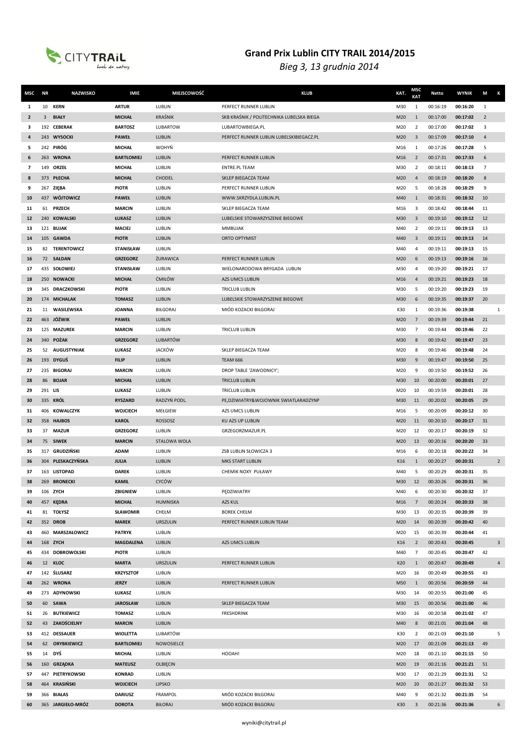

| MSC          | ΝR      | <b>NAZWISKO</b>       | IMIE                             | <b>MIEJSCOWOŚĆ</b> | <b>KLUB</b>                               | KAT.       | MSC<br>KAT           | <b>Netto</b>         | <b>WYNIK</b>         | M<br>К         |
|--------------|---------|-----------------------|----------------------------------|--------------------|-------------------------------------------|------------|----------------------|----------------------|----------------------|----------------|
| 1            | 10      | <b>KERN</b>           | <b>ARTUR</b>                     | LUBLIN             | PERFECT RUNNER LUBLIN                     | M30        | 1                    | 00:16:19             | 00:16:20             | 1              |
| $\mathbf{2}$ | 3       | <b>BIAŁY</b>          | <b>MICHAŁ</b>                    | <b>KRAŚNIK</b>     | SKB KRAŚNIK / POLITECHNIKA LUBELSKA BIEGA | M20        | $\mathbf{1}$         | 00:17:00             | 00:17:02             | $\overline{2}$ |
| 3            |         | 192 CEBERAK           | <b>BARTOSZ</b>                   | LUBARTOW           | LUBARTOWBIEGA.PL                          | M20        | 2                    | 00:17:00             | 00:17:02             | 3              |
| 4            |         | 243 WYSOCKI           | <b>PAWEŁ</b>                     | LUBLIN             | PERFECT RUNNER LUBLIN LUBELSKIBIEGACZ.PL  | M20        | 3                    | 00:17:09             | 00:17:10             | $\overline{4}$ |
| 5            |         | 242 PIRÓG             | <b>MICHAŁ</b>                    | WOHYŃ              |                                           | M16        | 1                    | 00:17:26             | 00:17:28             | 5              |
| 6            |         | 263 WRONA             | <b>BARTŁOMIEJ</b>                | LUBLIN             | PERFECT RUNNER LUBLIN                     | M16        | $\overline{2}$       | 00:17:31             | 00:17:33             | 6              |
| 7            |         | 149 ORZEŁ             | <b>MICHAŁ</b>                    | LUBLIN             | <b>ENTRE.PL TEAM</b>                      | M30        | 2                    | 00:18:11             | 00:18:13             | $\overline{7}$ |
| 8            |         | 373 PŁECHA            | <b>MICHAŁ</b>                    | <b>CHODEL</b>      | SKLEP BIEGACZA TEAM                       | M20        | $\overline{4}$       | 00:18:19             | 00:18:20             | 8              |
| 9            |         | 267 ZIEBA             | <b>PIOTR</b>                     | LUBLIN             | PERFECT RUNNER LUBLIN                     | M20        | 5                    | 00:18:28             | 00:18:29             | 9              |
| 10           |         | 437 WÓJTOWICZ         | <b>PAWEŁ</b>                     | LUBLIN             | WWW.SKRZYDLA.LUBLIN.PL                    | M40        | $\mathbf{1}$         | 00:18:31             | 00:18:32             | 10             |
| 11           | 61      | <b>PRZECH</b>         | <b>MARCIN</b>                    | LUBLIN             | SKLEP BIEGACZA TEAM                       | M16        | 3                    | 00:18:42             | 00:18:44             | 11             |
| 12           |         | 240 KOWALSKI          | ŁUKASZ                           | LUBLIN             | LUBELSKIE STOWARZYSZENIE BIEGOWE          | M30        | 3                    | 00:19:10             | 00:19:12             | 12             |
| 13           |         | 121 BUJAK             | <b>MACIEJ</b>                    | LUBLIN             | <b>MMBUJAK</b>                            | M40        | 2                    | 00:19:11             | 00:19:13             | 13             |
| 14           |         | 105 GAWDA             | <b>PIOTR</b>                     | LUBLIN             | <b>ORTO OPTYMIST</b>                      | M40        | $\overline{3}$       | 00:19:11             | 00:19:13             | 14             |
| 15           |         | 82 TERENTOWICZ        | <b>STANISŁAW</b>                 | LUBLIN             |                                           | M40        | 4                    | 00:19:11             | 00:19:13             | 15             |
| 16           |         | 72 SAŁDAN             | <b>GRZEGORZ</b>                  | ŻURAWICA           | PERFECT RUNNER LUBLIN                     | M20        | 6                    | 00:19:13             | 00:19:16             | 16             |
| 17           |         | 435 SOŁOWIEJ          | <b>STANISŁAW</b>                 | LUBLIN             | WIELONARODOWA BRYGADA LUBLIN              | M30        | 4                    | 00:19:20             | 00:19:21             | 17             |
| 18           |         | 250 NOWACKI           | <b>MICHAŁ</b>                    | ĆMIŁÓW             | AZS UMCS LUBLIN                           | M16        | $\overline{4}$       | 00:19:21             | 00:19:23             | 18             |
| 19           |         | 345 DRACZKOWSKI       | <b>PIOTR</b>                     | LUBLIN             | <b>TRICLUB LUBLIN</b>                     | M30        | 5                    | 00:19:20             | 00:19:23             | 19             |
| 20           |         | 174 MICHALAK          | <b>TOMASZ</b>                    | LUBLIN             | LUBELSKIE STOWARZYSZENIE BIEGOWE          | M30        | 6                    | 00:19:35             | 00:19:37             | 20             |
| 21           |         | 11 WASILEWSKA         | <b>JOANNA</b>                    | <b>BIŁGORAJ</b>    | MIÓD KOZACKI BIŁGORAJ                     | K30        | 1                    | 00:19:36             | 00:19:38             | $\mathbf{1}$   |
| 22           |         | 463 JÓŹWIK            | <b>PAWEŁ</b>                     | LUBLIN             |                                           | M20        | $\overline{7}$       | 00:19:39             | 00:19:44             | 21             |
| 23           |         | 125 MAZUREK           | <b>MARCIN</b>                    | LUBLIN             | <b>TRICLUB LUBLIN</b>                     | M30        | $\overline{7}$       | 00:19:44             | 00:19:46             | 22             |
| 24           |         | 340 <b>POŻAK</b>      | <b>GRZEGORZ</b>                  | <b>LUBARTÓW</b>    |                                           | M30        | 8                    | 00:19:42             | 00:19:47             | 23             |
| 25           |         | 52 AUGUSTYNIAK        | ŁUKASZ                           | <b>JACKÓW</b>      | SKLEP BIEGACZA TEAM                       | M20        | 8                    | 00:19:46             | 00:19:48             | 24             |
| 26           |         | 193 DYGUŚ             | <b>FILIP</b>                     | LUBLIN             | <b>TEAM 666</b>                           | M30        | 9                    | 00:19:47             | 00:19:50             | 25             |
| 27           |         | 235 BIGORAJ           | <b>MARCIN</b>                    | LUBLIN             | DROP TABLE 'ZAWODNICY';                   | M20        | 9                    | 00:19:50             | 00:19:52             | 26             |
| 28           |         | 86 BOJAR              | <b>MICHAŁ</b>                    | LUBLIN             | <b>TRICLUB LUBLIN</b>                     | M30        | 10                   | 00:20:00             | 00:20:01             | 27             |
| 29           | 291 LIS |                       | ŁUKASZ                           | LUBLIN             | <b>TRICLUB LUBLIN</b>                     | M20        | 10                   | 00:19:59             | 00:20:01             | 28             |
| 30           |         | 335 KRÓL              | <b>RYSZARD</b>                   | RADZYŃ PODL.       | PE, DZIWIATRY& WOJOWNIK SWIATLARADZYNP    | M30        | 11                   | 00:20:02             | 00:20:05             | 29             |
| 31           |         | 406 KOWALCZYK         | WOJCIECH                         | MEŁGIEW            | AZS UMCS LUBLIN                           | M16        | 5                    | 00:20:09             | 00:20:12             | 30             |
| 32           |         | 358 HAJBOS            | <b>KAROL</b>                     | ROSSOSZ            | KU AZS UP LUBLIN                          | M20        | 11                   | 00:20:10             | 00:20:17             | 31             |
| 33           |         | 37 MAZUR              | <b>GRZEGORZ</b>                  | LUBLIN             | GRZEGORZMAZUR.PL                          | M20        | 12                   | 00:20:17             | 00:20:19             | 32             |
| 34           |         | 75 SIWEK              | <b>MARCIN</b>                    | STALOWA WOLA       |                                           | M20        | 13                   | 00:20:16             | 00:20:20             | 33             |
| 35           |         | 317 GRUDZIŃSKI        | <b>ADAM</b>                      | LUBLIN             | ZSB LUBLIN SŁOWICZA 3                     | M16        | 6                    | 00:20:18             | 00:20:22             | 34             |
| 36           |         | 304 PLESKACZYŃSKA     | <b>JULIA</b>                     | LUBLIN             | <b>MKS START LUBLIN</b>                   | K16        | $\mathbf{1}$         | 00:20:27             | 00:20:31             | $\overline{2}$ |
| 37           |         | 163 LISTOPAD          | <b>DAREK</b>                     | LUBLIN             | <b>CHEMIK NOXY PUŁAWY</b>                 | M40        | 5                    | 00:20:29             | 00:20:31             | 35             |
| 38           |         | 269 BRONECKI          | <b>KAMIL</b>                     | CYCÓW              |                                           | M30        | 12                   | 00:20:26             | 00:20:31             | 36             |
| 39           |         | 106 ZYCH              | ZBIGNIEW                         | LUBLIN             | PEDZIWIATRY                               | M40        | 6                    | 00:20:30             | 00:20:32             | 37<br>38       |
| 40           |         | 457 KEDRA             | <b>MICHAŁ</b><br><b>SŁAWOMIR</b> | HUMNISKA<br>CHEŁM  | AZS KUL<br><b>BOREK CHEŁM</b>             | M16        | $\overline{7}$       | 00:20:24             | 00:20:33             | 39             |
| 41<br>42     |         | 81 TOŁYSZ<br>352 DROB | <b>MAREK</b>                     | URSZULIN           | PERFECT RUNNER LUBLIN TEAM                | M30<br>M20 | 13<br>14             | 00:20:35<br>00:20:39 | 00:20:39<br>00:20:42 | 40             |
|              |         | 460 MARSZAŁOWICZ      | <b>PATRYK</b>                    | LUBLIN             |                                           |            |                      | 00:20:39             | 00:20:44             | 41             |
| 43<br>44     |         | 168 ZYCH              | <b>MAGDALENA</b>                 | LUBLIN             | AZS UMCS LUBLIN                           | M20<br>K16 | 15<br>$\overline{2}$ | 00:20:43             | 00:20:45             | $\mathsf 3$    |
| 45           |         | 434 DOBROWOLSKI       | <b>PIOTR</b>                     | LUBLIN             |                                           | M40        | $\overline{7}$       | 00:20:45             | 00:20:47             | 42             |
| 46           |         | 12 KLOC               | <b>MARTA</b>                     | <b>URSZULIN</b>    | PERFECT RUNNER LUBLIN                     | K20        | 1                    | 00:20:47             | 00:20:49             | $\overline{4}$ |
| 47           |         | 142 ŚLUSARZ           | <b>KRZYSZTOF</b>                 | LUBLIN             |                                           | M20        | 16                   | 00:20:49             | 00:20:55             | 43             |
| 48           |         | 262 WRONA             | <b>JERZY</b>                     | LUBLIN             | PERFECT RUNNER LUBLIN                     | M50        | 1                    | 00:20:56             | 00:20:59             | 44             |
| 49           |         | 273 ADYNOWSKI         | ŁUKASZ                           | LUBLIN             |                                           | M30        | 14                   | 00:20:55             | 00:21:00             | 45             |
| 50           |         | 60 SAWA               | <b>JAROSŁAW</b>                  | LUBLIN             | SKLEP BIEGACZA TEAM                       | M30        | 15                   | 00:20:56             | 00:21:00             | 46             |
| 51           |         | 26 BUTKIEWICZ         | <b>TOMASZ</b>                    | LUBLIN             | <b>FRESHDRINK</b>                         | M30        | 16                   | 00:20:58             | 00:21:02             | 47             |
| 52           |         | 43 ZAKOŚCIELNY        | <b>MARCIN</b>                    | LUBLIN             |                                           | M40        | 8                    | 00:21:01             | 00:21:04             | 48             |
| 53           |         | 412 DESSAUER          | <b>WIOLETTA</b>                  | LUBARTÓW           |                                           | K30        | $\overline{2}$       | 00:21:03             | 00:21:10             | 5              |
| 54           |         | 62 ORYBKIEWICZ        | <b>BARTŁOMIEJ</b>                | NOWOSIELCE         |                                           | M20        | 17                   | 00:21:09             | 00:21:13             | 49             |
| 55           |         | 14 DYŚ                | <b>MICHAŁ</b>                    | LUBLIN             | HOOAH!                                    | M20        | 18                   | 00:21:10             | 00:21:15             | 50             |
| 56           |         | 160 GRZĄDKA           | <b>MATEUSZ</b>                   | OLBIECIN           |                                           | M20        | 19                   | 00:21:16             | 00:21:21             | 51             |
| 57           |         | 447 PIETRYKOWSKI      | <b>KONRAD</b>                    | LUBLIN             |                                           | M30        | 17                   | 00:21:29             | 00:21:31             | 52             |
| 58           |         | 464 KRASIŃSKI         | <b>WOJCIECH</b>                  | LIPSKO             |                                           | M20        | 20                   | 00:21:27             | 00:21:32             | 53             |
| 59           |         | 366 BIAŁAS            | <b>DARIUSZ</b>                   | FRAMPOL            | MIÓD KOZACKI BIŁGORAJ                     | M40        | 9                    | 00:21:32             | 00:21:35             | 54             |
| 60           |         | 365 JARGIEŁO-MRÓZ     | <b>DOROTA</b>                    | BIŁORAJ            | MIÓD KOZACKI BIŁGORAJ                     | K30        | $\overline{3}$       | 00:21:36             | 00:21:36             | 6              |
|              |         |                       |                                  |                    |                                           |            |                      |                      |                      |                |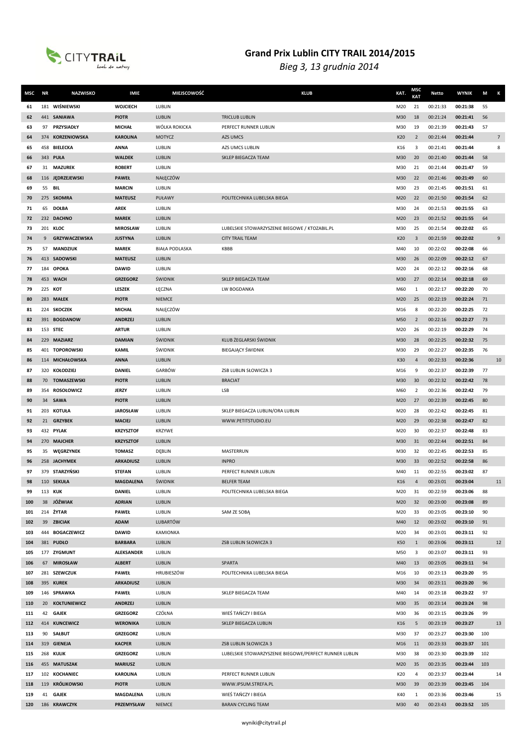

| MSC        | <b>NR</b> | <b>NAZWISKO</b>                  | <b>IMIE</b>                      | MIEJSCOWOŚĆ           | <b>KLUB</b>                                            | KAT.       | MSC<br>KAT          | Netto                | <b>WYNIK</b>         | M        | К              |
|------------|-----------|----------------------------------|----------------------------------|-----------------------|--------------------------------------------------------|------------|---------------------|----------------------|----------------------|----------|----------------|
| 61         |           | 181 WIŚNIEWSKI                   | <b>WOJCIECH</b>                  | LUBLIN                |                                                        | M20        | 21                  | 00:21:33             | 00:21:38             | 55       |                |
| 62         |           | 441 SANIAWA                      | <b>PIOTR</b>                     | <b>LUBLIN</b>         | <b>TRICLUB LUBLIN</b>                                  | M30        | 18                  | 00:21:24             | 00:21:41             | 56       |                |
| 63         | 97        | PRZYSIADŁY                       | <b>MICHAŁ</b>                    | WÓLKA ROKICKA         | PERFECT RUNNER LUBLIN                                  | M30        | 19                  | 00:21:39             | 00:21:43             | 57       |                |
| 64         |           | 374 KORZENIOWSKA                 | <b>KAROLINA</b>                  | <b>MOTYCZ</b>         | AZS UMCS                                               | K20        | $\overline{2}$      | 00:21:44             | 00:21:44             |          | $\overline{7}$ |
| 65         | 458       | <b>BIELECKA</b>                  | <b>ANNA</b>                      | LUBLIN                | AZS UMCS LUBLIN                                        | K16        | 3                   | 00:21:41             | 00:21:44             |          | 8              |
| 66         |           | 343 PUŁA                         | <b>WALDEK</b>                    | LUBLIN                | SKLEP BIEGACZA TEAM                                    | M30        | 20                  | 00:21:40             | 00:21:44             | 58       |                |
| 67         |           | 31 MAZUREK                       | <b>ROBERT</b>                    | LUBLIN                |                                                        | M30        | 21                  | 00:21:44             | 00:21:47             | 59       |                |
| 68         |           | 116 JEDRZEJEWSKI                 | <b>PAWEŁ</b>                     | NAŁĘCZÓW              |                                                        | M30        | 22                  | 00:21:46             | 00:21:49             | 60       |                |
| 69         | 55        | <b>BIL</b>                       | <b>MARCIN</b>                    | LUBLIN                |                                                        | M30        | 23                  | 00:21:45             | 00:21:51             | 61       |                |
| 70         |           | 275 SKOMRA                       | <b>MATEUSZ</b>                   | PUŁAWY                | POLITECHNIKA LUBELSKA BIEGA                            | M20        | 22                  | 00:21:50             | 00:21:54             | 62       |                |
| 71         | 65        | <b>DOŁBA</b>                     | <b>AREK</b>                      | LUBLIN                |                                                        | M30        | 24                  | 00:21:53             | 00:21:55             | 63       |                |
| 72         |           | 232 DACHNO                       | <b>MAREK</b>                     | LUBLIN                |                                                        | M20        | 23                  | 00:21:52             | 00:21:55             | 64       |                |
| 73         |           | 201 KLOC                         | <b>MIROSŁAW</b>                  | LUBLIN                | LUBELSKIE STOWARZYSZENIE BIEGOWE / KTOZABIL.PL         | M30        | 25                  | 00:21:54             | 00:22:02             | 65       |                |
| 74         | 9         | GRZYWACZEWSKA                    | <b>JUSTYNA</b>                   | <b>LUBLIN</b>         | <b>CITY TRAIL TEAM</b>                                 | K20        | 3                   | 00:21:59             | 00:22:02             |          | 9              |
| 75         | 57        | <b>MANDZIUK</b>                  | <b>MAREK</b>                     | <b>BIAŁA PODLASKA</b> | KBBB                                                   | M40        | 10                  | 00:22:02             | 00:22:08             | 66       |                |
| 76         |           | 413 SADOWSKI                     | <b>MATEUSZ</b>                   | <b>LUBLIN</b>         |                                                        | M30        | 26                  | 00:22:09             | 00:22:12             | 67       |                |
| 77         |           | 184 OPOKA                        | <b>DAWID</b>                     | LUBLIN                |                                                        | M20        | 24                  | 00:22:12             | 00:22:16             | 68       |                |
| 78         |           | 453 WACH                         | <b>GRZEGORZ</b>                  | <b>ŚWIDNIK</b>        | SKLEP BIEGACZA TEAM                                    | M30        | 27                  | 00:22:14             | 00:22:18             | 69       |                |
| 79         |           | 225 KOT                          | LESZEK                           | ŁĘCZNA                | LW BOGDANKA                                            | M60        | 1                   | 00:22:17             | 00:22:20             | 70       |                |
| 80         |           | 283 MAŁEK                        | <b>PIOTR</b>                     | <b>NIEMCE</b>         |                                                        | M20        | 25                  | 00:22:19             | 00:22:24             | 71       |                |
| 81         |           | 224 SKOCZEK                      | <b>MICHAŁ</b>                    | NAŁĘCZÓW              |                                                        | M16        | 8                   | 00:22:20             | 00:22:25             | 72       |                |
| 82         |           | 391 BOGDANOW                     | <b>ANDRZEJ</b>                   | <b>LUBLIN</b>         |                                                        | M50        | $\overline{2}$      | 00:22:16             | 00:22:27             | 73       |                |
| 83         |           | 153 STEC                         | <b>ARTUR</b>                     | LUBLIN                |                                                        | M20        | 26                  | 00:22:19             | 00:22:29             | 74       |                |
| 84         |           | 229 MAZIARZ                      | <b>DAMIAN</b>                    | ŚWIDNIK               | KLUB ŻEGLARSKI ŚWIDNIK                                 | M30        | 28                  | 00:22:25             | 00:22:32             | 75       |                |
| 85         |           | 401 TOPOROWSKI                   | <b>KAMIL</b>                     | ŚWIDNIK               | <b>BIEGAJĄCY ŚWIDNIK</b>                               | M30        | 29                  | 00:22:27             | 00:22:35             | 76       |                |
| 86         |           | 114 MICHAŁOWSKA<br>320 KOŁODZIEJ | <b>ANNA</b><br><b>DANIEL</b>     | LUBLIN<br>GARBÓW      | ZSB LUBLIN SŁOWICZA 3                                  | K30        | $\overline{4}$<br>9 | 00:22:33<br>00:22:37 | 00:22:36<br>00:22:39 | 77       | 10             |
| 87<br>88   |           | 70 TOMASZEWSKI                   | <b>PIOTR</b>                     | LUBLIN                | <b>BRACIAT</b>                                         | M16<br>M30 | 30                  | 00:22:32             | 00:22:42             | 78       |                |
| 89         |           | 354 ROSOŁOWICZ                   | <b>JERZY</b>                     | LUBLIN                | LSB                                                    | M60        | $\overline{2}$      | 00:22:36             | 00:22:42             | 79       |                |
| 90         |           | 34 SAWA                          | <b>PIOTR</b>                     | LUBLIN                |                                                        | M20        | 27                  | 00:22:39             | 00:22:45             | 80       |                |
| 91         |           | 203 KOTUŁA                       | <b>JAROSŁAW</b>                  | LUBLIN                | SKLEP BIEGACZA LUBLIN/ORA LUBLIN                       | M20        | 28                  | 00:22:42             | 00:22:45             | 81       |                |
| 92         |           | 21 GRZYBEK                       | <b>MACIEJ</b>                    | LUBLIN                | WWW.PETITSTUDIO.EU                                     | M20        | 29                  | 00:22:38             | 00:22:47             | 82       |                |
| 93         |           | 432 PYLAK                        | <b>KRZYSZTOF</b>                 | KRZYWE                |                                                        | M20        | 30                  | 00:22:37             | 00:22:48             | 83       |                |
| 94         |           | 270 MAJCHER                      | <b>KRZYSZTOF</b>                 | LUBLIN                |                                                        | M30        | 31                  | 00:22:44             | 00:22:51             | 84       |                |
| 95         | 35        | WEGRZYNEK                        | <b>TOMASZ</b>                    | DĘBLIN                | <b>MASTERRUN</b>                                       | M30        | 32                  | 00:22:45             | 00:22:53             | 85       |                |
| 96         |           | 258 JACHYMEK                     | <b>ARKADIUSZ</b>                 | LUBLIN                | <b>INPRO</b>                                           | M30        | 33                  | 00:22:52             | 00:22:58             | 86       |                |
| 97         |           | 379 STARZYŃSKI                   | <b>STEFAN</b>                    | LUBLIN                | PERFECT RUNNER LUBLIN                                  | M40        | 11                  | 00:22:55             | 00:23:02             | 87       |                |
| 98         |           | 110 SEKUŁA                       | <b>MAGDALENA</b>                 | ŚWIDNIK               | <b>BELFER TEAM</b>                                     | K16        | $\overline{4}$      | 00:23:01             | 00:23:04             |          | 11             |
| 99         |           | 113 KUK                          | <b>DANIEL</b>                    | LUBLIN                | POLITECHNIKA LUBELSKA BIEGA                            | M20        | 31                  | 00:22:59             | 00:23:06             | 88       |                |
| 100        |           | 38 JÓŹWIAK                       | <b>ADRIAN</b>                    | LUBLIN                |                                                        | M20        | 32                  | 00:23:00             | 00:23:08             | 89       |                |
| 101        |           | 214 <b>ŻYTAR</b>                 | <b>PAWEŁ</b>                     | LUBLIN                | SAM ZE SOBA                                            | M20        | 33                  | 00:23:05             | 00:23:10             | 90       |                |
| 102        |           | 39 ZBICIAK                       | <b>ADAM</b>                      | <b>LUBARTÓW</b>       |                                                        | M40        | 12                  | 00:23:02             | 00:23:10             | 91       |                |
| 103        |           | 444 BOGACZEWICZ                  | <b>DAWID</b>                     | <b>KAMIONKA</b>       |                                                        | M20        | 34                  | 00:23:01             | 00:23:11             | 92       |                |
| 104        |           | 381 PUDŁO                        | <b>BARBARA</b>                   | LUBLIN                | ZSB LUBLIN SŁOWICZA 3                                  | K50        | $\mathbf{1}$        | 00:23:06             | 00:23:11             |          | 12             |
| 105        |           | 177 ZYGMUNT                      | <b>ALEKSANDER</b>                | LUBLIN                |                                                        | M50        | 3                   | 00:23:07             | 00:23:11             | 93       |                |
| 106        |           | 67 MIROSŁAW                      | <b>ALBERT</b>                    | LUBLIN                | SPARTA                                                 | M40        | 13                  | 00:23:05             | 00:23:11             | 94       |                |
| 107        |           | 281 SZEWCZUK<br>395 KUREK        | <b>PAWEŁ</b><br><b>ARKADIUSZ</b> | HRUBIESZÓW<br>LUBLIN  | POLITECHNIKA LUBELSKA BIEGA                            | M16        | 10                  | 00:23:13<br>00:23:11 | 00:23:20<br>00:23:20 | 95<br>96 |                |
| 108<br>109 |           | 146 SPRAWKA                      | <b>PAWEŁ</b>                     | LUBLIN                | SKLEP BIEGACZA TEAM                                    | M30<br>M40 | 34<br>14            | 00:23:18             | 00:23:22             | 97       |                |
| 110        |           | 20 KOŁTUNIEWICZ                  | <b>ANDRZEJ</b>                   | LUBLIN                |                                                        | M30        | 35                  | 00:23:14             | 00:23:24             | 98       |                |
| 111        |           | 42 GAJEK                         | <b>GRZEGORZ</b>                  | CZÓŁNA                | WIEŚ TAŃCZY I BIEGA                                    | M30        | 36                  | 00:23:15             | 00:23:26             | 99       |                |
| 112        |           | 414 KUNCEWICZ                    | <b>WERONIKA</b>                  | LUBLIN                | SKLEP BIEGACZA LUBLIN                                  | K16        | 5                   | 00:23:19             | 00:23:27             |          | 13             |
| 113        |           | 90 SAŁBUT                        | <b>GRZEGORZ</b>                  | LUBLIN                |                                                        | M30        | 37                  | 00:23:27             | 00:23:30             | 100      |                |
| 114        |           | 319 GIENEJA                      | <b>KACPER</b>                    | LUBLIN                | ZSB LUBLIN SŁOWICZA 3                                  | M16        | 11                  | 00:23:33             | 00:23:37             | 101      |                |
| 115        |           | 268 KULIK                        | <b>GRZEGORZ</b>                  | LUBLIN                | LUBELSKIE STOWARZYSZENIE BIEGOWE/PERFECT RUNNER LUBLIN | M30        | 38                  | 00:23:30             | 00:23:39             | 102      |                |
| 116        |           | 455 MATUSZAK                     | <b>MARIUSZ</b>                   | LUBLIN                |                                                        | M20        | 35                  | 00:23:35             | 00:23:44             | 103      |                |
| 117        |           | 102 KOCHANIEC                    | <b>KAROLINA</b>                  | LUBLIN                | PERFECT RUNNER LUBLIN                                  | K20        | 4                   | 00:23:37             | 00:23:44             |          | 14             |
| 118        |           | 119 KRÓLIKOWSKI                  | <b>PIOTR</b>                     | <b>LUBLIN</b>         | WWW.IPSUM.STREFA.PL                                    | M30        | 39                  | 00:23:39             | 00:23:45             | 104      |                |
| 119        | 41        | <b>GAJEK</b>                     | MAGDALENA                        | LUBLIN                | WIEŚ TAŃCZY I BIEGA                                    | K40        | 1                   | 00:23:36             | 00:23:46             |          | 15             |
| 120        |           | 186 KRAWCZYK                     | PRZEMYSŁAW                       | <b>NIEMCE</b>         | <b>BARAN CYCLING TEAM</b>                              | M30        | 40                  | 00:23:43             | 00:23:52 105         |          |                |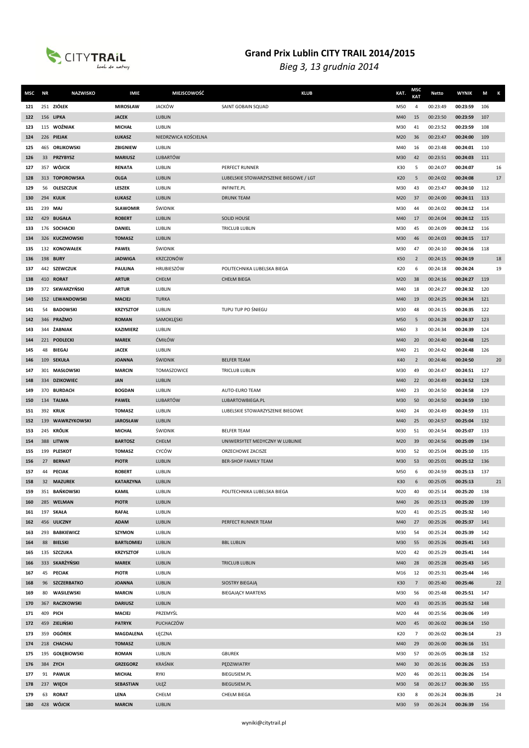

| MSC        | <b>NR</b> | <b>NAZWISKO</b>           | <b>IMIE</b>                      | MIEJSCOWOŚĆ          | <b>KLUB</b>                                          | KAT.       | MSC<br><b>KAT</b> | Netto                | <b>WYNIK</b>         | M          | К  |
|------------|-----------|---------------------------|----------------------------------|----------------------|------------------------------------------------------|------------|-------------------|----------------------|----------------------|------------|----|
| 121        |           | 251 ZIÓŁEK                | <b>MIROSŁAW</b>                  | <b>JACKÓW</b>        | SAINT GOBAIN SQUAD                                   | M50        | 4                 | 00:23:49             | 00:23:59             | 106        |    |
| 122        |           | 156 LIPKA                 | <b>JACEK</b>                     | LUBLIN               |                                                      | M40        | 15                | 00:23:50             | 00:23:59             | 107        |    |
| 123        |           | 115 WOŹNIAK               | <b>MICHAŁ</b>                    | LUBLIN               |                                                      | M30        | 41                | 00:23:52             | 00:23:59             | 108        |    |
| 124        |           | 226 PIEJAK                | ŁUKASZ                           | NIEDRZWICA KOŚCIELNA |                                                      | M20        | 36                | 00:23:47             | 00:24:00             | 109        |    |
| 125        |           | 465 ORLIKOWSKI            | ZBIGNIEW                         | LUBLIN               |                                                      | M40        | 16                | 00:23:48             | 00:24:01             | 110        |    |
| 126        |           | 33 PRZYBYSZ               | <b>MARIUSZ</b>                   | <b>LUBARTÓW</b>      |                                                      | M30        | 42                | 00:23:51             | 00:24:03             | 111        |    |
| 127        | 357       | WÓJCIK                    | <b>RENATA</b>                    | LUBLIN               | PERFECT RUNNER                                       | K30        | 5                 | 00:24:07             | 00:24:07             |            | 16 |
| 128        |           | 313 TOPOROWSKA            | <b>OLGA</b>                      | <b>LUBLIN</b>        | LUBELSKIE STOWARZYSZENIE BIEGOWE / LGT               | K20        | 5                 | 00:24:02             | 00:24:08             |            | 17 |
| 129        | 56        | <b>OLESZCZUK</b>          | LESZEK                           | LUBLIN               | INFINITE.PL                                          | M30        | 43                | 00:23:47             | 00:24:10             | 112        |    |
| 130        | 294       | <b>KULIK</b>              | ŁUKASZ                           | <b>LUBLIN</b>        | <b>DRUNK TEAM</b>                                    | M20        | 37                | 00:24:00             | 00:24:11             | 113        |    |
| 131        | 239       | MAJ                       | <b>SŁAWOMIR</b>                  | ŚWIDNIK              |                                                      | M30        | 44                | 00:24:02             | 00:24:12             | 114        |    |
| 132        | 429       | <b>BUGAŁA</b>             | <b>ROBERT</b>                    | LUBLIN               | <b>SOLID HOUSE</b>                                   | M40        | 17                | 00:24:04             | 00:24:12             | 115        |    |
| 133        |           | 176 SOCHACKI              | <b>DANIEL</b>                    | LUBLIN               | <b>TRICLUB LUBLIN</b>                                | M30        | 45                | 00:24:09             | 00:24:12             | 116        |    |
| 134        |           | 326 KUCZMOWSKI            | <b>TOMASZ</b>                    | <b>LUBLIN</b>        |                                                      | M30        | 46                | 00:24:03             | 00:24:15             | 117        |    |
| 135        |           | 132 KONOWAŁEK             | <b>PAWEŁ</b>                     | ŚWIDNIK              |                                                      | M30        | 47                | 00:24:10             | 00:24:16             | 118        |    |
| 136        |           | 198 <b>BURY</b>           | <b>JADWIGA</b>                   | <b>KRZCZONÓW</b>     |                                                      | K50        | $\overline{2}$    | 00:24:15             | 00:24:19             |            | 18 |
| 137        |           | 442 SZEWCZUK              | <b>PAULINA</b>                   | HRUBIESZÓW           | POLITECHNIKA LUBELSKA BIEGA                          | K20        | 6                 | 00:24:18             | 00:24:24             |            | 19 |
| 138        |           | 410 RORAT                 | <b>ARTUR</b>                     | CHEŁM                | <b>CHEŁM BIEGA</b>                                   | M20        | 38                | 00:24:16             | 00:24:27             | 119        |    |
| 139        |           | 372 SKWARZYŃSKI           | <b>ARTUR</b>                     | LUBLIN               |                                                      | M40        | 18                | 00:24:27             | 00:24:32             | 120        |    |
| 140        |           | 152 LEWANDOWSKI           | <b>MACIEJ</b>                    | <b>TURKA</b>         |                                                      | M40        | 19                | 00:24:25             | 00:24:34             | 121        |    |
| 141        | 54        | <b>BADOWSKI</b>           | <b>KRZYSZTOF</b>                 | LUBLIN               | TUPU TUP PO ŚNIEGU                                   | M30        | 48                | 00:24:15             | 00:24:35             | 122        |    |
| 142        |           | 346 PRAŻMO                | <b>ROMAN</b>                     | SAMOKLĘSKI           |                                                      | M50        | 5                 | 00:24:28             | 00:24:37             | 123        |    |
| 143        |           | 344 ŻABNIAK               | <b>KAZIMIERZ</b>                 | LUBLIN               |                                                      | M60        | 3                 | 00:24:34             | 00:24:39             | 124        |    |
| 144        |           | 221 PODLECKI              | <b>MAREK</b>                     | <b>ĆMIŁÓW</b>        |                                                      | M40        | 20                | 00:24:40             | 00:24:48             | 125        |    |
|            | 48        | BIEGAJ                    | <b>JACEK</b>                     | LUBLIN               |                                                      | M40        | 21                | 00:24:42             | 00:24:48             | 126        |    |
| 145<br>146 |           | 109 SEKUŁA                | <b>JOANNA</b>                    | ŚWIDNIK              | <b>BELFER TEAM</b>                                   | K40        | $\overline{2}$    | 00:24:46             | 00:24:50             |            | 20 |
| 147        | 301       | MASŁOWSKI                 | <b>MARCIN</b>                    | TOMASZOWICE          | <b>TRICLUB LUBLIN</b>                                |            | 49                | 00:24:47             | 00:24:51             | 127        |    |
|            |           |                           |                                  | LUBLIN               |                                                      | M30        |                   |                      |                      |            |    |
| 148        |           | 334 DZIKOWIEC             | <b>JAN</b>                       |                      |                                                      | M40        | 22                | 00:24:49             | 00:24:52             | 128        |    |
| 149        | 370       | <b>BURDACH</b>            | <b>BOGDAN</b><br><b>PAWEŁ</b>    | LUBLIN               | AUTO-EURO TEAM                                       | M40        | 23                | 00:24:50             | 00:24:58             | 129        |    |
| 150        |           | 134 TALMA                 |                                  | <b>LUBARTÓW</b>      | LUBARTOWBIEGA.PL                                     | M30        | 50                | 00:24:50             | 00:24:59             | 130        |    |
| 151        |           | 392 KRUK                  | <b>TOMASZ</b>                    | LUBLIN               | LUBELSKIE STOWARZYSZENIE BIEGOWE                     | M40        | 24                | 00:24:49             | 00:24:59             | 131        |    |
| 152        | 139       | WAWRZYKOWSKI              | <b>JAROSŁAW</b><br><b>MICHAŁ</b> | <b>LUBLIN</b>        |                                                      | M40        | 25                | 00:24:57             | 00:25:04             | 132        |    |
| 153        |           | 245 KRÓLIK                |                                  | ŚWIDNIK              | <b>BELFER TEAM</b>                                   | M30        | 51                | 00:24:54             | 00:25:07             | 133        |    |
| 154        |           | 388 LITWIN<br>199 PLESKOT | <b>BARTOSZ</b><br><b>TOMASZ</b>  | CHEŁM<br>CYCÓW       | UNIWERSYTET MEDYCZNY W LUBLINIE<br>ORZECHOWE ZACISZE | M20        | 39<br>52          | 00:24:56<br>00:25:04 | 00:25:09<br>00:25:10 | 134<br>135 |    |
| 155<br>156 |           | 27 BERNAT                 | <b>PIOTR</b>                     | <b>LUBLIN</b>        | <b>BER-SHOP FAMILY TEAM</b>                          | M30<br>M30 | 53                | 00:25:01             | 00:25:12             | 136        |    |
| 157        | 44        | <b>PECIAK</b>             | <b>ROBERT</b>                    | LUBLIN               |                                                      | M50        | 6                 | 00:24:59             | 00:25:13             | 137        |    |
| 158        | 32        | <b>MAZUREK</b>            | <b>KATARZYNA</b>                 | <b>LUBLIN</b>        |                                                      | K30        | 6                 | 00:25:05             | 00:25:13             |            | 21 |
| 159        |           | 351 BAŃKOWSKI             | <b>KAMIL</b>                     | LUBLIN               | POLITECHNIKA LUBELSKA BIEGA                          | M20        | 40                | 00:25:14             | 00:25:20             | 138        |    |
| 160        |           | 285 WELMAN                | <b>PIOTR</b>                     | LUBLIN               |                                                      | M40        | 26                | 00:25:13             | 00:25:20             | 139        |    |
| 161        |           | 197 SKAŁA                 | <b>RAFAŁ</b>                     | LUBLIN               |                                                      | M20        | 41                | 00:25:25             | 00:25:32             | 140        |    |
| 162        |           | 456 ULICZNY               | <b>ADAM</b>                      | LUBLIN               | PERFECT RUNNER TEAM                                  | M40        | 27                | 00:25:26             | 00:25:37             | 141        |    |
| 163        |           | 293 BABKIEWICZ            | <b>SZYMON</b>                    | LUBLIN               |                                                      | M30        | 54                | 00:25:24             | 00:25:39             | 142        |    |
| 164        | 88        | <b>BIELSKI</b>            | <b>BARTŁOMIEJ</b>                | LUBLIN               | <b>BBL LUBLIN</b>                                    | M30        | 55                | 00:25:26             | 00:25:41             | 143        |    |
| 165        |           | 135 SZCZUKA               | <b>KRZYSZTOF</b>                 | LUBLIN               |                                                      | M20        | 42                | 00:25:29             | 00:25:41             | 144        |    |
| 166        |           | 333 SKARŻYŃSKI            | <b>MAREK</b>                     | LUBLIN               | <b>TRICLUB LUBLIN</b>                                | M40        | 28                | 00:25:28             | 00:25:43             | 145        |    |
| 167        | 45        | <b>PECIAK</b>             | <b>PIOTR</b>                     | LUBLIN               |                                                      | M16        | 12                | 00:25:31             | 00:25:44             | 146        |    |
| 168        |           | 96 SZCZERBATKO            | <b>JOANNA</b>                    | LUBLIN               | <b>SIOSTRY BIEGAJĄ</b>                               | K30        | $\overline{7}$    | 00:25:40             | 00:25:46             |            | 22 |
| 169        | 80        | WASILEWSKI                | <b>MARCIN</b>                    | LUBLIN               | <b>BIEGAJĄCY MARTENS</b>                             | M30        | 56                | 00:25:48             | 00:25:51             | 147        |    |
| 170        |           | 367 RACZKOWSKI            | <b>DARIUSZ</b>                   | LUBLIN               |                                                      | M20        | 43                | 00:25:35             | 00:25:52             | 148        |    |
| 171        |           | 409 PICH                  | <b>MACIEJ</b>                    | PRZEMYŚL             |                                                      | M20        | 44                | 00:25:56             | 00:26:06             | 149        |    |
| 172        |           | 459 ZIELIŃSKI             | <b>PATRYK</b>                    | PUCHACZÓW            |                                                      | M20        | 45                | 00:26:02             | 00:26:14             | 150        |    |
| 173        |           | 359 OGÓREK                | MAGDALENA                        | ŁĘCZNA               |                                                      | K20        | $\overline{7}$    | 00:26:02             | 00:26:14             |            | 23 |
| 174        |           | 218 CHACHAJ               | <b>TOMASZ</b>                    | LUBLIN               |                                                      | M40        | 29                | 00:26:00             | 00:26:16             | 151        |    |
| 175        |           | 195 GOŁĘBIOWSKI           | <b>ROMAN</b>                     | LUBLIN               | <b>GBUREK</b>                                        | M30        | 57                | 00:26:05             | 00:26:18             | 152        |    |
| 176        |           | 384 ZYCH                  | <b>GRZEGORZ</b>                  | KRAŚNIK              | PĘDZIWIATRY                                          | M40        | 30                | 00:26:16             | 00:26:26             | 153        |    |
| 177        |           | 91 PAWLIK                 | <b>MICHAŁ</b>                    | RYKI                 | <b>BIEGUSIEM.PL</b>                                  | M20        | 46                | 00:26:11             | 00:26:26             | 154        |    |
| 178        |           | 237 WIĘCH                 | <b>SEBASTIAN</b>                 | UŁĘŻ                 | <b>BIEGUSIEM.PL</b>                                  | M30        | 58                | 00:26:17             | 00:26:30             | 155        |    |
| 179        |           | 63 RORAT                  | LENA                             | CHEŁM                | CHEŁM BIEGA                                          | K30        | 8                 | 00:26:24             | 00:26:35             |            | 24 |
| 180        |           | 428 WÓJCIK                | <b>MARCIN</b>                    | LUBLIN               |                                                      | M30        | 59                | 00:26:24             | 00:26:39             | 156        |    |
|            |           |                           |                                  |                      |                                                      |            |                   |                      |                      |            |    |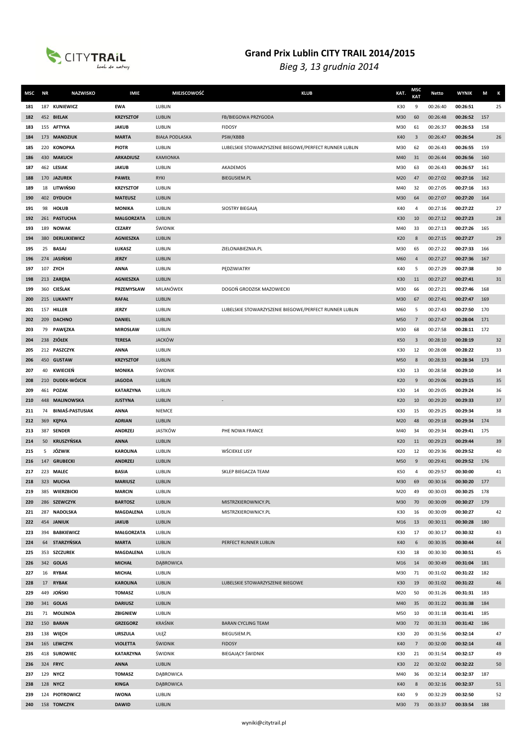

| MSC | <b>NR</b> | <b>NAZWISKO</b>         | <b>IMIE</b>       | MIEJSCOWOŚĆ           | <b>KLUB</b>                                            | KAT. | MSC<br><b>KAT</b> | Netto    | <b>WYNIK</b> | M   | Κ  |
|-----|-----------|-------------------------|-------------------|-----------------------|--------------------------------------------------------|------|-------------------|----------|--------------|-----|----|
| 181 |           | 187 KUNIEWICZ           | <b>EWA</b>        | LUBLIN                |                                                        | K30  | 9                 | 00:26:40 | 00:26:51     |     | 25 |
| 182 |           | 452 BIELAK              | <b>KRZYSZTOF</b>  | LUBLIN                | FB/BIEGOWA PRZYGODA                                    | M30  | 60                | 00:26:48 | 00:26:52     | 157 |    |
| 183 |           | 155 AFTYKA              | <b>JAKUB</b>      | LUBLIN                | <b>FIDOSY</b>                                          | M30  | 61                | 00:26:37 | 00:26:53     | 158 |    |
| 184 |           | 173 MANDZIUK            | <b>MARTA</b>      | <b>BIAŁA PODLASKA</b> | PSW/KBBB                                               | K40  | $\overline{3}$    | 00:26:47 | 00:26:54     |     | 26 |
| 185 |           | 220 KONOPKA             | <b>PIOTR</b>      | LUBLIN                | LUBELSKIE STOWARZYSZENIE BIEGOWE/PERFECT RUNNER LUBLIN | M30  | 62                | 00:26:43 | 00:26:55     | 159 |    |
| 186 |           | 430 MAKUCH              | <b>ARKADIUSZ</b>  | <b>KAMIONKA</b>       |                                                        | M40  | 31                | 00:26:44 | 00:26:56     | 160 |    |
| 187 |           | 462 LESIAK              | <b>JAKUB</b>      | LUBLIN                | AKADEMOS                                               | M30  | 63                | 00:26:43 | 00:26:57     | 161 |    |
| 188 |           | 170 JAZUREK             | <b>PAWEŁ</b>      | <b>RYKI</b>           | <b>BIEGUSIEM.PL</b>                                    | M20  | 47                | 00:27:02 | 00:27:16     | 162 |    |
| 189 |           | 18 LITWIŃSKI            | <b>KRZYSZTOF</b>  | LUBLIN                |                                                        | M40  | 32                | 00:27:05 | 00:27:16     | 163 |    |
| 190 |           | 402 DYDUCH              | <b>MATEUSZ</b>    | LUBLIN                |                                                        | M30  | 64                | 00:27:07 | 00:27:20     | 164 |    |
| 191 | 98        | <b>HOLUB</b>            | <b>MONIKA</b>     | LUBLIN                | SIOSTRY BIEGAJĄ                                        | K40  | 4                 | 00:27:16 | 00:27:22     |     | 27 |
| 192 |           | 261 PASTUCHA            | <b>MALGORZATA</b> | LUBLIN                |                                                        | K30  | 10                | 00:27:12 | 00:27:23     |     | 28 |
| 193 | 189       | <b>NOWAK</b>            | <b>CEZARY</b>     | ŚWIDNIK               |                                                        | M40  | 33                | 00:27:13 | 00:27:26     | 165 |    |
| 194 |           | 380 DERLUKIEWICZ        | AGNIESZKA         | LUBLIN                |                                                        | K20  | 8                 | 00:27:15 | 00:27:27     |     | 29 |
| 195 | 25        | <b>BASAJ</b>            | ŁUKASZ            | LUBLIN                | ZIELONABIEZNIA.PL                                      | M30  | 65                | 00:27:22 | 00:27:33     | 166 |    |
| 196 |           | 274 JASIŃSKI            | <b>JERZY</b>      | LUBLIN                |                                                        | M60  | 4                 | 00:27:27 | 00:27:36     | 167 |    |
| 197 |           | 107 ZYCH                | <b>ANNA</b>       | LUBLIN                | PEDZIWIATRY                                            | K40  | 5                 | 00:27:29 | 00:27:38     |     | 30 |
| 198 |           | 213 ZARĘBA              | <b>AGNIESZKA</b>  | <b>LUBLIN</b>         |                                                        | K30  | 11                | 00:27:27 | 00:27:41     |     | 31 |
| 199 |           | 360 CIEŚLAK             | PRZEMYSŁAW        | MILANÓWEK             | DOGOŃ GRODZISK MAZOWIECKI                              | M30  | 66                | 00:27:21 | 00:27:46     | 168 |    |
| 200 |           | 215 LUKANTY             | <b>RAFAŁ</b>      | LUBLIN                |                                                        | M30  | 67                | 00:27:41 | 00:27:47     | 169 |    |
| 201 |           | 157 HILLER              | <b>JERZY</b>      | LUBLIN                | LUBELSKIE STOWARZYSZENIE BIEGOWE/PERFECT RUNNER LUBLIN | M60  | 5                 | 00:27:43 | 00:27:50     | 170 |    |
| 202 |           | 209 DACHNO              | <b>DANIEL</b>     | LUBLIN                |                                                        | M50  | $\overline{7}$    | 00:27:47 | 00:28:04     | 171 |    |
| 203 | 79        | PAWĘZKA                 | <b>MIROSŁAW</b>   | LUBLIN                |                                                        | M30  | 68                | 00:27:58 | 00:28:11     | 172 |    |
| 204 |           | 238 ZIÓŁEK              | <b>TERESA</b>     | <b>JACKÓW</b>         |                                                        | K50  | 3                 | 00:28:10 | 00:28:19     |     | 32 |
| 205 |           | 212 PASZCZYK            | <b>ANNA</b>       | LUBLIN                |                                                        | K30  | 12                | 00:28:08 | 00:28:22     |     | 33 |
| 206 |           | 450 GUSTAW              | <b>KRZYSZTOF</b>  | LUBLIN                |                                                        | M50  | 8                 | 00:28:33 | 00:28:34     | 173 |    |
| 207 |           | 40 KWIECIEŃ             | <b>MONIKA</b>     | ŚWIDNIK               |                                                        | K30  | 13                | 00:28:58 | 00:29:10     |     | 34 |
| 208 |           | 210 DUDEK-WÓJCIK        | <b>JAGODA</b>     | LUBLIN                |                                                        | K20  | 9                 | 00:29:06 | 00:29:15     |     | 35 |
| 209 |           | 461 POZAK               | <b>KATARZYNA</b>  | LUBLIN                |                                                        | K30  | 14                | 00:29:05 | 00:29:24     |     | 36 |
| 210 |           | 448 MALINOWSKA          | <b>JUSTYNA</b>    | LUBLIN                |                                                        | K20  | 10                | 00:29:20 | 00:29:33     |     | 37 |
| 211 | 74        | <b>BINIAŚ-PASTUSIAK</b> | <b>ANNA</b>       | <b>NIEMCE</b>         |                                                        | K30  | 15                | 00:29:25 | 00:29:34     |     | 38 |
| 212 | 369       | <b>KEPKA</b>            | <b>ADRIAN</b>     | LUBLIN                |                                                        | M20  | 48                | 00:29:18 | 00:29:34     | 174 |    |
| 213 |           | 387 SENDER              | <b>ANDRZEJ</b>    | <b>JASTKÓW</b>        | PHE NOWA FRANCE                                        | M40  | 34                | 00:29:34 | 00:29:41     | 175 |    |
| 214 | 50        | <b>KRUSZYŃSKA</b>       | <b>ANNA</b>       | LUBLIN                |                                                        | K20  | 11                | 00:29:23 | 00:29:44     |     | 39 |
| 215 | 5         | JÓZWIK                  | <b>KAROLINA</b>   | LUBLIN                | WŚCIEKŁE LISY                                          | K20  | 12                | 00:29:36 | 00:29:52     |     | 40 |
| 216 |           | 147 GRUBECKI            | <b>ANDRZEJ</b>    | <b>LUBLIN</b>         |                                                        | M50  | 9                 | 00:29:41 | 00:29:52     | 176 |    |
| 217 |           | 223 MALEC               | <b>BASIA</b>      | LUBLIN                | SKLEP BIEGACZA TEAM                                    | K50  | $\overline{4}$    | 00:29:57 | 00:30:00     |     | 41 |
| 218 |           | 323 MUCHA               | <b>MARIUSZ</b>    | LUBLIN                |                                                        | M30  | 69                | 00:30:16 | 00:30:20     | 177 |    |
| 219 |           | 385 WIERZBICKI          | <b>MARCIN</b>     | LUBLIN                |                                                        | M20  | 49                | 00:30:03 | 00:30:25     | 178 |    |
| 220 |           | 286 SZEWCZYK            | <b>BARTOSZ</b>    | LUBLIN                | MISTRZKIEROWNICY.PL                                    | M30  | 70                | 00:30:09 | 00:30:27     | 179 |    |
| 221 |           | 287 NADOLSKA            | MAGDALENA         | LUBLIN                | MISTRZKIEROWNICY.PL                                    | K30  | 16                | 00:30:09 | 00:30:27     |     | 42 |
| 222 |           | 454 JANIUK              | <b>JAKUB</b>      | <b>LUBLIN</b>         |                                                        | M16  | 13                | 00:30:11 | 00:30:28     | 180 |    |
| 223 |           | 394 BABKIEWICZ          | <b>MAŁGORZATA</b> | LUBLIN                |                                                        | K30  | 17                | 00:30:17 | 00:30:32     |     | 43 |
| 224 |           | 64 STARZYŃSKA           | <b>MARTA</b>      | LUBLIN                | PERFECT RUNNER LUBLIN                                  | K40  | 6                 | 00:30:35 | 00:30:44     |     | 44 |
| 225 |           | 353 SZCZUREK            | <b>MAGDALENA</b>  | LUBLIN                |                                                        | K30  | 18                | 00:30:30 | 00:30:51     |     | 45 |
| 226 |           | 342 GOLAS               | <b>MICHAŁ</b>     | <b>DABROWICA</b>      |                                                        | M16  | 14                | 00:30:49 | 00:31:04     | 181 |    |
| 227 |           | 16 RYBAK                | <b>MICHAŁ</b>     | LUBLIN                |                                                        | M30  | 71                | 00:31:02 | 00:31:22     | 182 |    |
| 228 |           | 17 RYBAK                | <b>KAROLINA</b>   | LUBLIN                | LUBELSKIE STOWARZYSZENIE BIEGOWE                       | K30  | 19                | 00:31:02 | 00:31:22     |     | 46 |
| 229 |           | 449 JOŃSKI              | <b>TOMASZ</b>     | LUBLIN                |                                                        | M20  | 50                | 00:31:26 | 00:31:31     | 183 |    |
| 230 |           | 341 <b>GOLAS</b>        | <b>DARIUSZ</b>    | LUBLIN                |                                                        | M40  | 35                | 00:31:22 | 00:31:38     | 184 |    |
| 231 |           | 71 MOLENDA              | ZBIGNIEW          | LUBLIN                |                                                        | M50  | 10                | 00:31:18 | 00:31:41     | 185 |    |
| 232 |           | 150 BARAN               | <b>GRZEGORZ</b>   | KRAŚNIK               | <b>BARAN CYCLING TEAM</b>                              | M30  | 72                | 00:31:33 | 00:31:42     | 186 |    |
| 233 |           | 138 WIĘCH               | <b>URSZULA</b>    | UŁĘŻ                  | BIEGUSIEM.PL                                           | K30  | 20                | 00:31:56 | 00:32:14     |     | 47 |
| 234 |           | 165 LEWCZYK             | <b>VIOLETTA</b>   | <b>ŚWIDNIK</b>        | <b>FIDOSY</b>                                          | K40  | $\overline{7}$    | 00:32:00 | 00:32:14     |     | 48 |
| 235 |           | 418 SUROWIEC            | <b>KATARZYNA</b>  | ŚWIDNIK               | <b>BIEGAJĄCY ŚWIDNIK</b>                               | K30  | 21                | 00:31:54 | 00:32:17     |     | 49 |
| 236 |           | 324 FRYC                | <b>ANNA</b>       | LUBLIN                |                                                        | K30  | 22                | 00:32:02 | 00:32:22     |     | 50 |
| 237 |           | 129 NYCZ                | <b>TOMASZ</b>     | DĄBROWICA             |                                                        | M40  | 36                | 00:32:14 | 00:32:37     | 187 |    |
| 238 |           | 128 NYCZ                | <b>KINGA</b>      | <b>DABROWICA</b>      |                                                        | K40  | 8                 | 00:32:16 | 00:32:37     |     | 51 |
| 239 |           | 124 PIOTROWICZ          | <b>IWONA</b>      | LUBLIN                |                                                        | K40  | 9                 | 00:32:29 | 00:32:50     |     | 52 |
| 240 |           | 158 TOMCZYK             | <b>DAWID</b>      | LUBLIN                |                                                        | M30  | 73                | 00:33:37 | 00:33:54     | 188 |    |